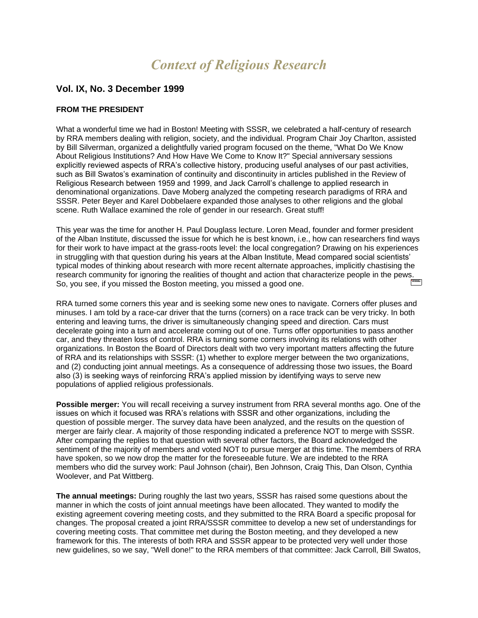# *Context of Religious Research*

# **Vol. IX, No. 3 December 1999**

## **FROM THE PRESIDENT**

What a wonderful time we had in Boston! Meeting with SSSR, we celebrated a half-century of research by RRA members dealing with religion, society, and the individual. Program Chair Joy Charlton, assisted by Bill Silverman, organized a delightfully varied program focused on the theme, "What Do We Know About Religious Institutions? And How Have We Come to Know It?" Special anniversary sessions explicitly reviewed aspects of RRA's collective history, producing useful analyses of our past activities, such as Bill Swatos's examination of continuity and discontinuity in articles published in the Review of Religious Research between 1959 and 1999, and Jack Carroll's challenge to applied research in denominational organizations. Dave Moberg analyzed the competing research paradigms of RRA and SSSR. Peter Beyer and Karel Dobbelaere expanded those analyses to other religions and the global scene. Ruth Wallace examined the role of gender in our research. Great stuff!

This year was the time for another H. Paul Douglass lecture. Loren Mead, founder and former president of the Alban Institute, discussed the issue for which he is best known, i.e., how can researchers find ways for their work to have impact at the grass-roots level: the local congregation? Drawing on his experiences in struggling with that question during his years at the Alban Institute, Mead compared social scientists' typical modes of thinking about research with more recent alternate approaches, implicitly chastising the research community for ignoring the realities of thought and action that characterize people in the pews. So, you see, if you missed the Boston meeting, you missed a good one.

RRA turned some corners this year and is seeking some new ones to navigate. Corners offer pluses and minuses. I am told by a race-car driver that the turns (corners) on a race track can be very tricky. In both entering and leaving turns, the driver is simultaneously changing speed and direction. Cars must decelerate going into a turn and accelerate coming out of one. Turns offer opportunities to pass another car, and they threaten loss of control. RRA is turning some corners involving its relations with other organizations. In Boston the Board of Directors dealt with two very important matters affecting the future of RRA and its relationships with SSSR: (1) whether to explore merger between the two organizations, and (2) conducting joint annual meetings. As a consequence of addressing those two issues, the Board also (3) is seeking ways of reinforcing RRA's applied mission by identifying ways to serve new populations of applied religious professionals.

**Possible merger:** You will recall receiving a survey instrument from RRA several months ago. One of the issues on which it focused was RRA's relations with SSSR and other organizations, including the question of possible merger. The survey data have been analyzed, and the results on the question of merger are fairly clear. A majority of those responding indicated a preference NOT to merge with SSSR. After comparing the replies to that question with several other factors, the Board acknowledged the sentiment of the majority of members and voted NOT to pursue merger at this time. The members of RRA have spoken, so we now drop the matter for the foreseeable future. We are indebted to the RRA members who did the survey work: Paul Johnson (chair), Ben Johnson, Craig This, Dan Olson, Cynthia Woolever, and Pat Wittberg.

**The annual meetings:** During roughly the last two years, SSSR has raised some questions about the manner in which the costs of joint annual meetings have been allocated. They wanted to modify the existing agreement covering meeting costs, and they submitted to the RRA Board a specific proposal for changes. The proposal created a joint RRA/SSSR committee to develop a new set of understandings for covering meeting costs. That committee met during the Boston meeting, and they developed a new framework for this. The interests of both RRA and SSSR appear to be protected very well under those new guidelines, so we say, "Well done!" to the RRA members of that committee: Jack Carroll, Bill Swatos,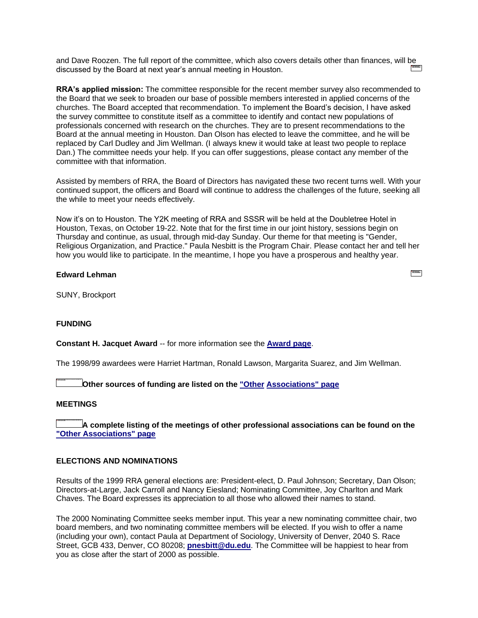and Dave Roozen. The full report of the committee, which also covers details other than finances, will be discussed by the Board at next year's annual meeting in Houston.

**RRA's applied mission:** The committee responsible for the recent member survey also recommended to the Board that we seek to broaden our base of possible members interested in applied concerns of the churches. The Board accepted that recommendation. To implement the Board's decision, I have asked the survey committee to constitute itself as a committee to identify and contact new populations of professionals concerned with research on the churches. They are to present recommendations to the Board at the annual meeting in Houston. Dan Olson has elected to leave the committee, and he will be replaced by Carl Dudley and Jim Wellman. (I always knew it would take at least two people to replace Dan.) The committee needs your help. If you can offer suggestions, please contact any member of the committee with that information.

Assisted by members of RRA, the Board of Directors has navigated these two recent turns well. With your continued support, the officers and Board will continue to address the challenges of the future, seeking all the while to meet your needs effectively.

Now it's on to Houston. The Y2K meeting of RRA and SSSR will be held at the Doubletree Hotel in Houston, Texas, on October 19-22. Note that for the first time in our joint history, sessions begin on Thursday and continue, as usual, through mid-day Sunday. Our theme for that meeting is "Gender, Religious Organization, and Practice." Paula Nesbitt is the Program Chair. Please contact her and tell her how you would like to participate. In the meantime, I hope you have a prosperous and healthy year.

# **Edward Lehman**

SUNY, Brockport

#### **FUNDING**

**Constant H. Jacquet Award** -- for more information see the **[Award page](constant.htm)**.

The 1998/99 awardees were Harriet Hartman, Ronald Lawson, Margarita Suarez, and Jim Wellman.

**Other sources of funding are listed on the ["Other](funding.htm) [Associations" page](funding.htm)**

#### **MEETINGS**

**A complete listing of the meetings of other professional associations can be found on the ["Other Associations" page](colleagues.htm)**

### **ELECTIONS AND NOMINATIONS**

Results of the 1999 RRA general elections are: President-elect, D. Paul Johnson; Secretary, Dan Olson; Directors-at-Large, Jack Carroll and Nancy Eiesland; Nominating Committee, Joy Charlton and Mark Chaves. The Board expresses its appreciation to all those who allowed their names to stand.

The 2000 Nominating Committee seeks member input. This year a new nominating committee chair, two board members, and two nominating committee members will be elected. If you wish to offer a name (including your own), contact Paula at Department of Sociology, University of Denver, 2040 S. Race Street, GCB 433, Denver, CO 80208; **[pnesbitt@du.edu](mailto:pnesbitt@du.edu)**. The Committee will be happiest to hear from you as close after the start of 2000 as possible.